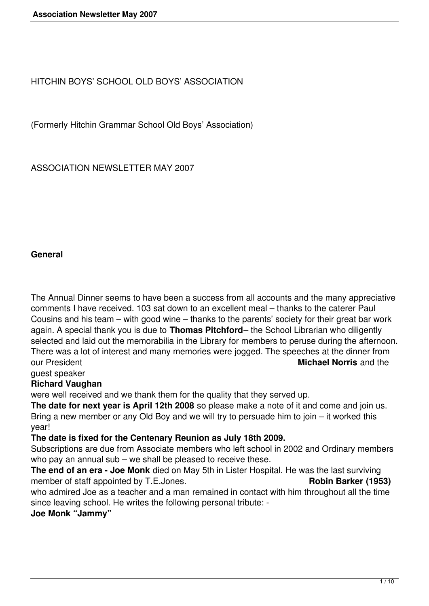HITCHIN BOYS' SCHOOL OLD BOYS' ASSOCIATION

(Formerly Hitchin Grammar School Old Boys' Association)

ASSOCIATION NEWSLETTER MAY 2007

#### **General**

The Annual Dinner seems to have been a success from all accounts and the many appreciative comments I have received. 103 sat down to an excellent meal – thanks to the caterer Paul Cousins and his team – with good wine – thanks to the parents' society for their great bar work again. A special thank you is due to **Thomas Pitchford**– the School Librarian who diligently selected and laid out the memorabilia in the Library for members to peruse during the afternoon. There was a lot of interest and many memories were jogged. The speeches at the dinner from our President **Michael Norris** and the

guest speaker

# **Richard Vaughan**

were well received and we thank them for the quality that they served up.

**The date for next year is April 12th 2008** so please make a note of it and come and join us. Bring a new member or any Old Boy and we will try to persuade him to join – it worked this year!

**The date is fixed for the Centenary Reunion as July 18th 2009.**

Subscriptions are due from Associate members who left school in 2002 and Ordinary members who pay an annual sub – we shall be pleased to receive these.

**The end of an era - Joe Monk** died on May 5th in Lister Hospital. He was the last surviving member of staff appointed by T.E.Jones. **Robin Barker** (1953)

who admired Joe as a teacher and a man remained in contact with him throughout all the time since leaving school. He writes the following personal tribute: -

**Joe Monk "Jammy"**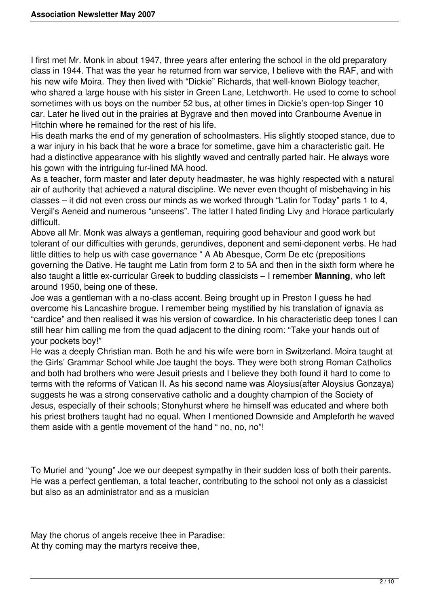I first met Mr. Monk in about 1947, three years after entering the school in the old preparatory class in 1944. That was the year he returned from war service, I believe with the RAF, and with his new wife Moira. They then lived with "Dickie" Richards, that well-known Biology teacher, who shared a large house with his sister in Green Lane, Letchworth. He used to come to school sometimes with us boys on the number 52 bus, at other times in Dickie's open-top Singer 10 car. Later he lived out in the prairies at Bygrave and then moved into Cranbourne Avenue in Hitchin where he remained for the rest of his life.

His death marks the end of my generation of schoolmasters. His slightly stooped stance, due to a war injury in his back that he wore a brace for sometime, gave him a characteristic gait. He had a distinctive appearance with his slightly waved and centrally parted hair. He always wore his gown with the intriguing fur-lined MA hood.

As a teacher, form master and later deputy headmaster, he was highly respected with a natural air of authority that achieved a natural discipline. We never even thought of misbehaving in his classes – it did not even cross our minds as we worked through "Latin for Today" parts 1 to 4, Vergil's Aeneid and numerous "unseens". The latter I hated finding Livy and Horace particularly difficult.

Above all Mr. Monk was always a gentleman, requiring good behaviour and good work but tolerant of our difficulties with gerunds, gerundives, deponent and semi-deponent verbs. He had little ditties to help us with case governance " A Ab Abesque, Corm De etc (prepositions governing the Dative. He taught me Latin from form 2 to 5A and then in the sixth form where he also taught a little ex-curricular Greek to budding classicists – I remember **Manning**, who left around 1950, being one of these.

Joe was a gentleman with a no-class accent. Being brought up in Preston I guess he had overcome his Lancashire brogue. I remember being mystified by his translation of ignavia as "cardice" and then realised it was his version of cowardice. In his characteristic deep tones I can still hear him calling me from the quad adjacent to the dining room: "Take your hands out of your pockets boy!"

He was a deeply Christian man. Both he and his wife were born in Switzerland. Moira taught at the Girls' Grammar School while Joe taught the boys. They were both strong Roman Catholics and both had brothers who were Jesuit priests and I believe they both found it hard to come to terms with the reforms of Vatican II. As his second name was Aloysius(after Aloysius Gonzaya) suggests he was a strong conservative catholic and a doughty champion of the Society of Jesus, especially of their schools; Stonyhurst where he himself was educated and where both his priest brothers taught had no equal. When I mentioned Downside and Ampleforth he waved them aside with a gentle movement of the hand " no, no, no"!

To Muriel and "young" Joe we our deepest sympathy in their sudden loss of both their parents. He was a perfect gentleman, a total teacher, contributing to the school not only as a classicist but also as an administrator and as a musician

May the chorus of angels receive thee in Paradise: At thy coming may the martyrs receive thee,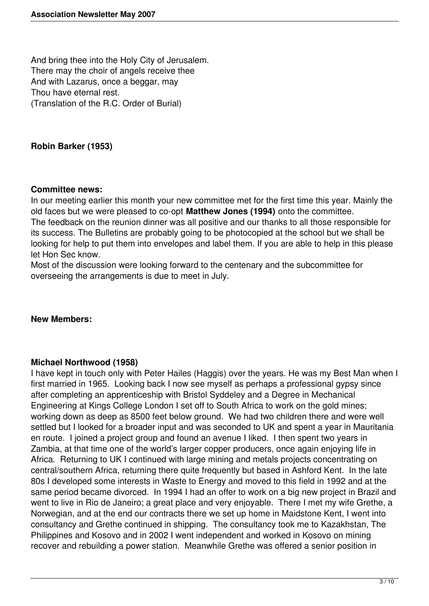And bring thee into the Holy City of Jerusalem. There may the choir of angels receive thee And with Lazarus, once a beggar, may Thou have eternal rest. (Translation of the R.C. Order of Burial)

### **Robin Barker (1953)**

#### **Committee news:**

In our meeting earlier this month your new committee met for the first time this year. Mainly the old faces but we were pleased to co-opt **Matthew Jones (1994)** onto the committee. The feedback on the reunion dinner was all positive and our thanks to all those responsible for its success. The Bulletins are probably going to be photocopied at the school but we shall be looking for help to put them into envelopes and label them. If you are able to help in this please let Hon Sec know.

Most of the discussion were looking forward to the centenary and the subcommittee for overseeing the arrangements is due to meet in July.

### **New Members:**

### **Michael Northwood (1958)**

I have kept in touch only with Peter Hailes (Haggis) over the years. He was my Best Man when I first married in 1965. Looking back I now see myself as perhaps a professional gypsy since after completing an apprenticeship with Bristol Syddeley and a Degree in Mechanical Engineering at Kings College London I set off to South Africa to work on the gold mines; working down as deep as 8500 feet below ground. We had two children there and were well settled but I looked for a broader input and was seconded to UK and spent a year in Mauritania en route. I joined a project group and found an avenue I liked. I then spent two years in Zambia, at that time one of the world's larger copper producers, once again enjoying life in Africa. Returning to UK I continued with large mining and metals projects concentrating on central/southern Africa, returning there quite frequently but based in Ashford Kent. In the late 80s I developed some interests in Waste to Energy and moved to this field in 1992 and at the same period became divorced. In 1994 I had an offer to work on a big new project in Brazil and went to live in Rio de Janeiro; a great place and very enjoyable. There I met my wife Grethe, a Norwegian, and at the end our contracts there we set up home in Maidstone Kent, I went into consultancy and Grethe continued in shipping. The consultancy took me to Kazakhstan, The Philippines and Kosovo and in 2002 I went independent and worked in Kosovo on mining recover and rebuilding a power station. Meanwhile Grethe was offered a senior position in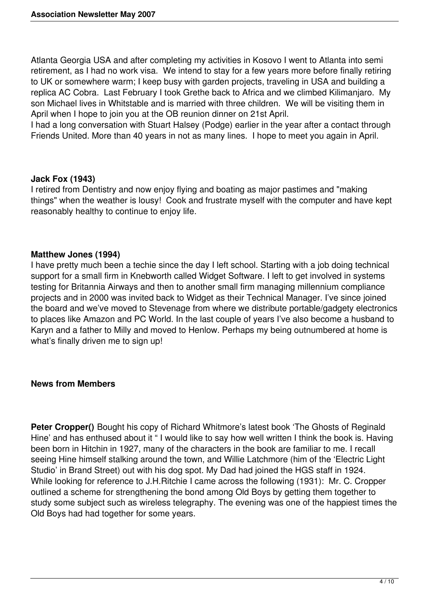Atlanta Georgia USA and after completing my activities in Kosovo I went to Atlanta into semi retirement, as I had no work visa. We intend to stay for a few years more before finally retiring to UK or somewhere warm; I keep busy with garden projects, traveling in USA and building a replica AC Cobra. Last February I took Grethe back to Africa and we climbed Kilimanjaro. My son Michael lives in Whitstable and is married with three children. We will be visiting them in April when I hope to join you at the OB reunion dinner on 21st April.

I had a long conversation with Stuart Halsey (Podge) earlier in the year after a contact through Friends United. More than 40 years in not as many lines. I hope to meet you again in April.

### **Jack Fox (1943)**

I retired from Dentistry and now enjoy flying and boating as major pastimes and "making things" when the weather is lousy! Cook and frustrate myself with the computer and have kept reasonably healthy to continue to enjoy life.

### **Matthew Jones (1994)**

I have pretty much been a techie since the day I left school. Starting with a job doing technical support for a small firm in Knebworth called Widget Software. I left to get involved in systems testing for Britannia Airways and then to another small firm managing millennium compliance projects and in 2000 was invited back to Widget as their Technical Manager. I've since joined the board and we've moved to Stevenage from where we distribute portable/gadgety electronics to places like Amazon and PC World. In the last couple of years I've also become a husband to Karyn and a father to Milly and moved to Henlow. Perhaps my being outnumbered at home is what's finally driven me to sign up!

#### **News from Members**

**Peter Cropper()** Bought his copy of Richard Whitmore's latest book 'The Ghosts of Reginald Hine' and has enthused about it " I would like to say how well written I think the book is. Having been born in Hitchin in 1927, many of the characters in the book are familiar to me. I recall seeing Hine himself stalking around the town, and Willie Latchmore (him of the 'Electric Light Studio' in Brand Street) out with his dog spot. My Dad had joined the HGS staff in 1924. While looking for reference to J.H.Ritchie I came across the following (1931): Mr. C. Cropper outlined a scheme for strengthening the bond among Old Boys by getting them together to study some subject such as wireless telegraphy. The evening was one of the happiest times the Old Boys had had together for some years.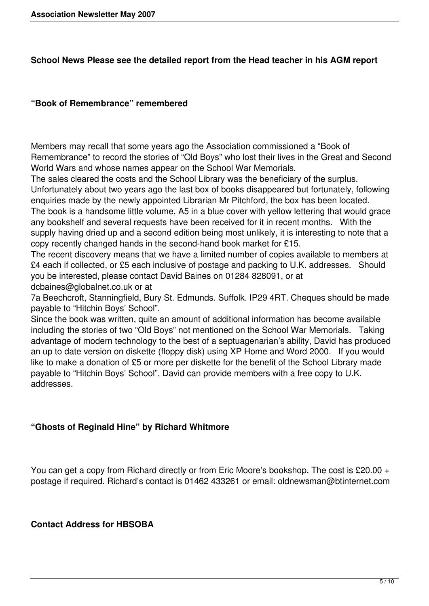## **School News Please see the detailed report from the Head teacher in his AGM report**

## **"Book of Remembrance" remembered**

Members may recall that some years ago the Association commissioned a "Book of Remembrance" to record the stories of "Old Boys" who lost their lives in the Great and Second World Wars and whose names appear on the School War Memorials.

The sales cleared the costs and the School Library was the beneficiary of the surplus. Unfortunately about two years ago the last box of books disappeared but fortunately, following enquiries made by the newly appointed Librarian Mr Pitchford, the box has been located.

The book is a handsome little volume, A5 in a blue cover with yellow lettering that would grace any bookshelf and several requests have been received for it in recent months. With the supply having dried up and a second edition being most unlikely, it is interesting to note that a copy recently changed hands in the second-hand book market for £15.

The recent discovery means that we have a limited number of copies available to members at £4 each if collected, or £5 each inclusive of postage and packing to U.K. addresses. Should you be interested, please contact David Baines on 01284 828091, or at dcbaines@globalnet.co.uk or at

7a Beechcroft, Stanningfield, Bury St. Edmunds. Suffolk. IP29 4RT. Cheques should be made payable to "Hitchin Boys' School".

Since the book was written, quite an amount of additional information has become available including the stories of two "Old Boys" not mentioned on the School War Memorials. Taking advantage of modern technology to the best of a septuagenarian's ability, David has produced an up to date version on diskette (floppy disk) using XP Home and Word 2000. If you would like to make a donation of £5 or more per diskette for the benefit of the School Library made payable to "Hitchin Boys' School", David can provide members with a free copy to U.K. addresses.

# **"Ghosts of Reginald Hine" by Richard Whitmore**

You can get a copy from Richard directly or from Eric Moore's bookshop. The cost is £20.00 + postage if required. Richard's contact is 01462 433261 or email: oldnewsman@btinternet.com

# **Contact Address for HBSOBA**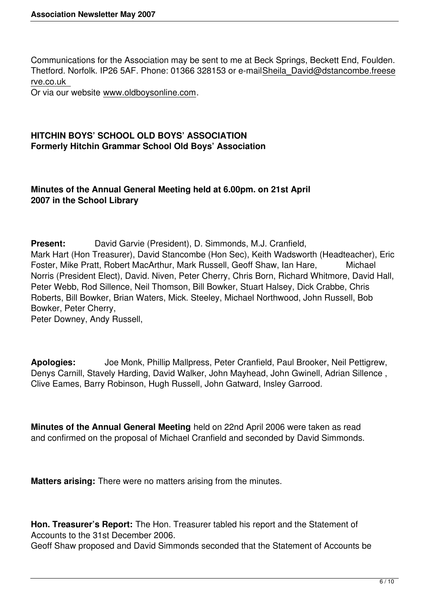Communications for the Association may be sent to me at Beck Springs, Beckett End, Foulden. Thetford. Norfolk. IP26 5AF. Phone: 01366 328153 or e-mailSheila\_David@dstancombe.freese rve.co.uk

Or via our website www.oldboysonline.com.

## **HITCHIN BOYS' SCHOOL OLD BOYS' ASSOCIATION Formerly Hitchin Grammar School Old Boys' Association**

## **Minutes of the Annual General Meeting held at 6.00pm. on 21st April 2007 in the School Library**

**Present:** David Garvie (President), D. Simmonds, M.J. Cranfield, Mark Hart (Hon Treasurer), David Stancombe (Hon Sec), Keith Wadsworth (Headteacher), Eric Foster, Mike Pratt, Robert MacArthur, Mark Russell, Geoff Shaw, Ian Hare, Michael Norris (President Elect), David. Niven, Peter Cherry, Chris Born, Richard Whitmore, David Hall, Peter Webb, Rod Sillence, Neil Thomson, Bill Bowker, Stuart Halsey, Dick Crabbe, Chris Roberts, Bill Bowker, Brian Waters, Mick. Steeley, Michael Northwood, John Russell, Bob Bowker, Peter Cherry,

Peter Downey, Andy Russell,

**Apologies:** Joe Monk, Phillip Mallpress, Peter Cranfield, Paul Brooker, Neil Pettigrew, Denys Carnill, Stavely Harding, David Walker, John Mayhead, John Gwinell, Adrian Sillence , Clive Eames, Barry Robinson, Hugh Russell, John Gatward, Insley Garrood.

**Minutes of the Annual General Meeting** held on 22nd April 2006 were taken as read and confirmed on the proposal of Michael Cranfield and seconded by David Simmonds.

**Matters arising:** There were no matters arising from the minutes.

**Hon. Treasurer's Report:** The Hon. Treasurer tabled his report and the Statement of Accounts to the 31st December 2006.

Geoff Shaw proposed and David Simmonds seconded that the Statement of Accounts be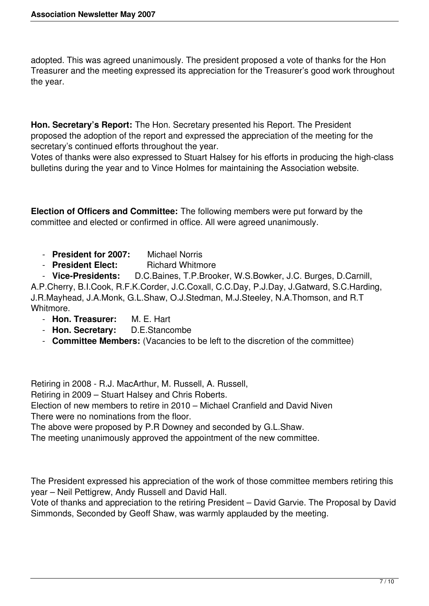adopted. This was agreed unanimously. The president proposed a vote of thanks for the Hon Treasurer and the meeting expressed its appreciation for the Treasurer's good work throughout the year.

**Hon. Secretary's Report:** The Hon. Secretary presented his Report. The President proposed the adoption of the report and expressed the appreciation of the meeting for the secretary's continued efforts throughout the year.

Votes of thanks were also expressed to Stuart Halsey for his efforts in producing the high-class bulletins during the year and to Vince Holmes for maintaining the Association website.

**Election of Officers and Committee:** The following members were put forward by the committee and elected or confirmed in office. All were agreed unanimously.

- **President for 2007:** Michael Norris
- **President Elect:** Richard Whitmore

 - **Vice-Presidents:** D.C.Baines, T.P.Brooker, W.S.Bowker, J.C. Burges, D.Carnill, A.P.Cherry, B.I.Cook, R.F.K.Corder, J.C.Coxall, C.C.Day, P.J.Day, J.Gatward, S.C.Harding, J.R.Mayhead, J.A.Monk, G.L.Shaw, O.J.Stedman, M.J.Steeley, N.A.Thomson, and R.T Whitmore.

- **Hon. Treasurer:** M. E. Hart
- **Hon. Secretary:** D.E.Stancombe
- **Committee Members:** (Vacancies to be left to the discretion of the committee)

Retiring in 2008 - R.J. MacArthur, M. Russell, A. Russell,

Retiring in 2009 – Stuart Halsey and Chris Roberts.

Election of new members to retire in 2010 – Michael Cranfield and David Niven There were no nominations from the floor.

The above were proposed by P.R Downey and seconded by G.L.Shaw.

The meeting unanimously approved the appointment of the new committee.

The President expressed his appreciation of the work of those committee members retiring this year – Neil Pettigrew, Andy Russell and David Hall.

Vote of thanks and appreciation to the retiring President – David Garvie. The Proposal by David Simmonds, Seconded by Geoff Shaw, was warmly applauded by the meeting.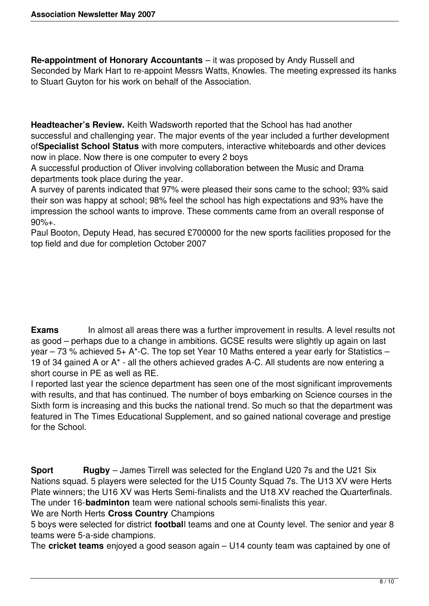**Re-appointment of Honorary Accountants** – it was proposed by Andy Russell and Seconded by Mark Hart to re-appoint Messrs Watts, Knowles. The meeting expressed its hanks to Stuart Guyton for his work on behalf of the Association.

**Headteacher's Review.** Keith Wadsworth reported that the School has had another successful and challenging year. The major events of the year included a further development of**Specialist School Status** with more computers, interactive whiteboards and other devices now in place. Now there is one computer to every 2 boys

A successful production of Oliver involving collaboration between the Music and Drama departments took place during the year.

A survey of parents indicated that 97% were pleased their sons came to the school; 93% said their son was happy at school; 98% feel the school has high expectations and 93% have the impression the school wants to improve. These comments came from an overall response of 90%+.

Paul Booton, Deputy Head, has secured £700000 for the new sports facilities proposed for the top field and due for completion October 2007

**Exams** In almost all areas there was a further improvement in results. A level results not as good – perhaps due to a change in ambitions. GCSE results were slightly up again on last year – 73 % achieved 5+ A\*-C. The top set Year 10 Maths entered a year early for Statistics – 19 of 34 gained A or  $A^*$  - all the others achieved grades A-C. All students are now entering a short course in PE as well as RE.

I reported last year the science department has seen one of the most significant improvements with results, and that has continued. The number of boys embarking on Science courses in the Sixth form is increasing and this bucks the national trend. So much so that the department was featured in The Times Educational Supplement, and so gained national coverage and prestige for the School.

**Sport Rugby** – James Tirrell was selected for the England U20 7s and the U21 Six Nations squad. 5 players were selected for the U15 County Squad 7s. The U13 XV were Herts Plate winners; the U16 XV was Herts Semi-finalists and the U18 XV reached the Quarterfinals. The under 16-**badminton** team were national schools semi-finalists this year.

We are North Herts **Cross Country** Champions

5 boys were selected for district **footbal**l teams and one at County level. The senior and year 8 teams were 5-a-side champions.

The **cricket teams** enjoyed a good season again – U14 county team was captained by one of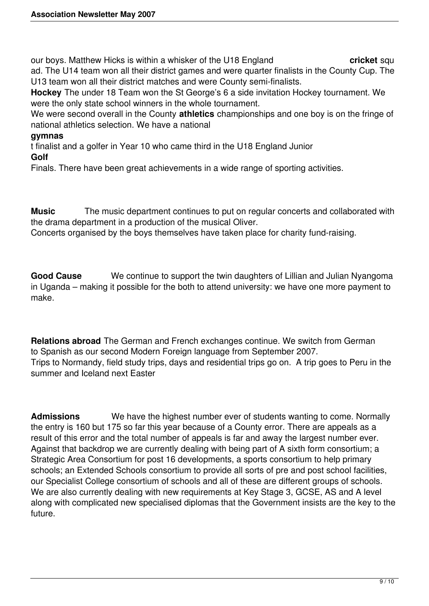our boys. Matthew Hicks is within a whisker of the U18 England **cricket** squ ad. The U14 team won all their district games and were quarter finalists in the County Cup. The U13 team won all their district matches and were County semi-finalists.

**Hockey** The under 18 Team won the St George's 6 a side invitation Hockey tournament. We were the only state school winners in the whole tournament.

We were second overall in the County **athletics** championships and one boy is on the fringe of national athletics selection. We have a national

## **gymnas**

t finalist and a golfer in Year 10 who came third in the U18 England Junior

#### **Golf**

Finals. There have been great achievements in a wide range of sporting activities.

**Music** The music department continues to put on regular concerts and collaborated with the drama department in a production of the musical Oliver.

Concerts organised by the boys themselves have taken place for charity fund-raising.

**Good Cause** We continue to support the twin daughters of Lillian and Julian Nyangoma in Uganda – making it possible for the both to attend university: we have one more payment to make.

**Relations abroad** The German and French exchanges continue. We switch from German to Spanish as our second Modern Foreign language from September 2007. Trips to Normandy, field study trips, days and residential trips go on. A trip goes to Peru in the summer and Iceland next Easter

**Admissions** We have the highest number ever of students wanting to come. Normally the entry is 160 but 175 so far this year because of a County error. There are appeals as a result of this error and the total number of appeals is far and away the largest number ever. Against that backdrop we are currently dealing with being part of A sixth form consortium; a Strategic Area Consortium for post 16 developments, a sports consortium to help primary schools; an Extended Schools consortium to provide all sorts of pre and post school facilities, our Specialist College consortium of schools and all of these are different groups of schools. We are also currently dealing with new requirements at Key Stage 3, GCSE, AS and A level along with complicated new specialised diplomas that the Government insists are the key to the future.